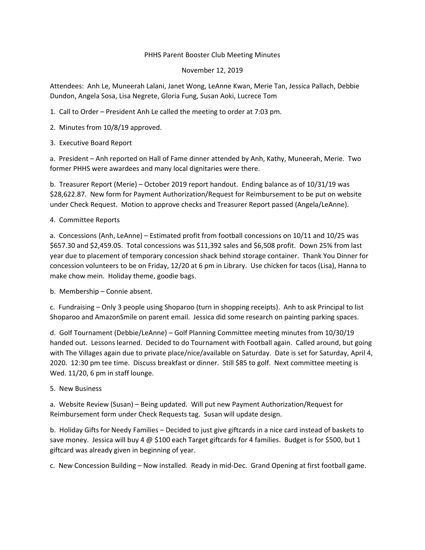## PHHS Parent Booster Club Meeting Minutes

## November 12, 2019

Attendees: Anh Le, Muneerah Lalani, Janet Wong, LeAnne Kwan, Merie Tan, Jessica Pallach, Debbie Dundon, Angela Sosa, Lisa Negrete, Gloria Fung, Susan Aoki, Lucrece Tom

- 1. Call to Order President Anh Le called the meeting to order at 7:03 pm.
- 2. Minutes from 10/8/19 approved.
- 3. Executive Board Report

a. President – Anh reported on Hall of Fame dinner attended by Anh, Kathy, Muneerah, Merie. Two former PHHS were awardees and many local dignitaries were there.

b. Treasurer Report (Merie) – October 2019 report handout. Ending balance as of 10/31/19 was \$28,622.87. New form for Payment Authorization/Request for Reimbursement to be put on website under Check Request. Motion to approve checks and Treasurer Report passed (Angela/LeAnne).

## 4. Committee Reports

a. Concessions (Anh, LeAnne) – Estimated profit from football concessions on 10/11 and 10/25 was \$657.30 and \$2,459.05. Total concessions was \$11,392 sales and \$6,508 profit. Down 25% from last year due to placement of temporary concession shack behind storage container. Thank You Dinner for concession volunteers to be on Friday, 12/20 at 6 pm in Library. Use chicken for tacos (Lisa), Hanna to make chow mein. Holiday theme, goodie bags.

b. Membership – Connie absent.

c. Fundraising – Only 3 people using Shoparoo (turn in shopping receipts). Anh to ask Principal to list Shoparoo and AmazonSmile on parent email. Jessica did some research on painting parking spaces.

d. Golf Tournament (Debbie/LeAnne) – Golf Planning Committee meeting minutes from 10/30/19 handed out. Lessons learned. Decided to do Tournament with Football again. Called around, but going with The Villages again due to private place/nice/available on Saturday. Date is set for Saturday, April 4, 2020. 12:30 pm tee time. Discuss breakfast or dinner. Still \$85 to golf. Next committee meeting is Wed. 11/20, 6 pm in staff lounge.

5. New Business

a. Website Review (Susan) – Being updated. Will put new Payment Authorization/Request for Reimbursement form under Check Requests tag. Susan will update design.

b. Holiday Gifts for Needy Families – Decided to just give giftcards in a nice card instead of baskets to save money. Jessica will buy 4  $\omega$  \$100 each Target giftcards for 4 families. Budget is for \$500, but 1 giftcard was already given in beginning of year.

c. New Concession Building – Now installed. Ready in mid‐Dec. Grand Opening at first football game.